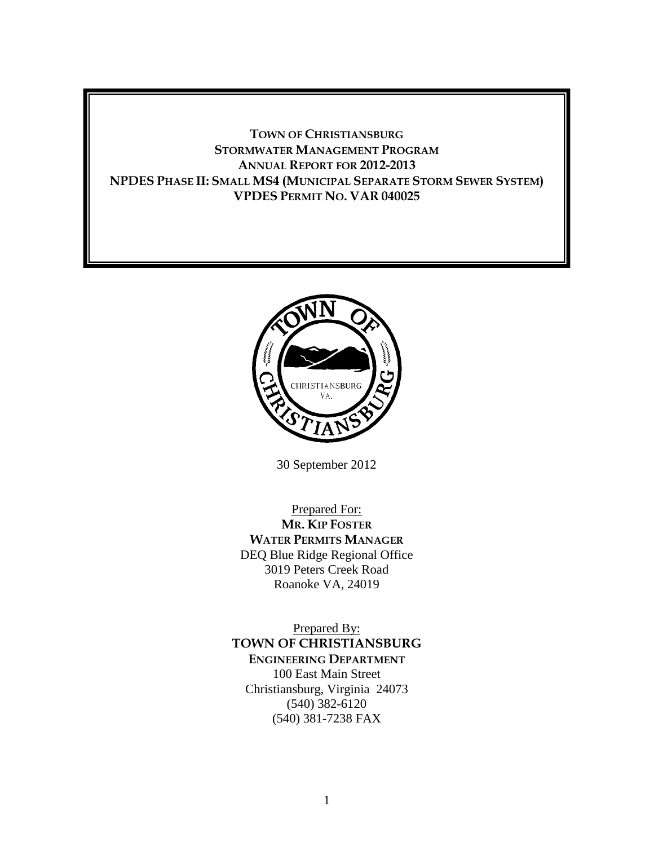# **TOWN OF CHRISTIANSBURG STORMWATER MANAGEMENT PROGRAM ANNUAL REPORT FOR 2012-2013 NPDES PHASE II: SMALL MS4 (MUNICIPAL SEPARATE STORM SEWER SYSTEM) VPDES PERMIT NO. VAR 040025**



30 September 2012

Prepared For: **MR. KIP FOSTER WATER PERMITS MANAGER** DEQ Blue Ridge Regional Office 3019 Peters Creek Road Roanoke VA, 24019

Prepared By: **TOWN OF CHRISTIANSBURG ENGINEERING DEPARTMENT** 100 East Main Street Christiansburg, Virginia 24073 (540) 382-6120 (540) 381-7238 FAX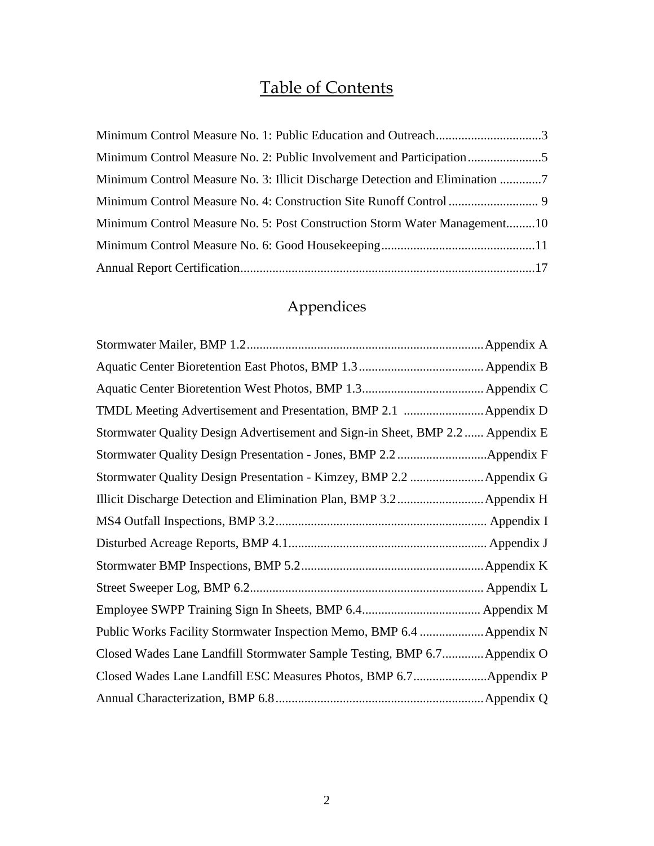# Table of Contents

| Minimum Control Measure No. 3: Illicit Discharge Detection and Elimination 7 |  |
|------------------------------------------------------------------------------|--|
|                                                                              |  |
| Minimum Control Measure No. 5: Post Construction Storm Water Management10    |  |
|                                                                              |  |
|                                                                              |  |

# Appendices

| TMDL Meeting Advertisement and Presentation, BMP 2.1 Appendix D                |  |
|--------------------------------------------------------------------------------|--|
| Stormwater Quality Design Advertisement and Sign-in Sheet, BMP 2.2  Appendix E |  |
|                                                                                |  |
|                                                                                |  |
|                                                                                |  |
|                                                                                |  |
|                                                                                |  |
|                                                                                |  |
|                                                                                |  |
|                                                                                |  |
|                                                                                |  |
| Closed Wades Lane Landfill Stormwater Sample Testing, BMP 6.7 Appendix O       |  |
|                                                                                |  |
|                                                                                |  |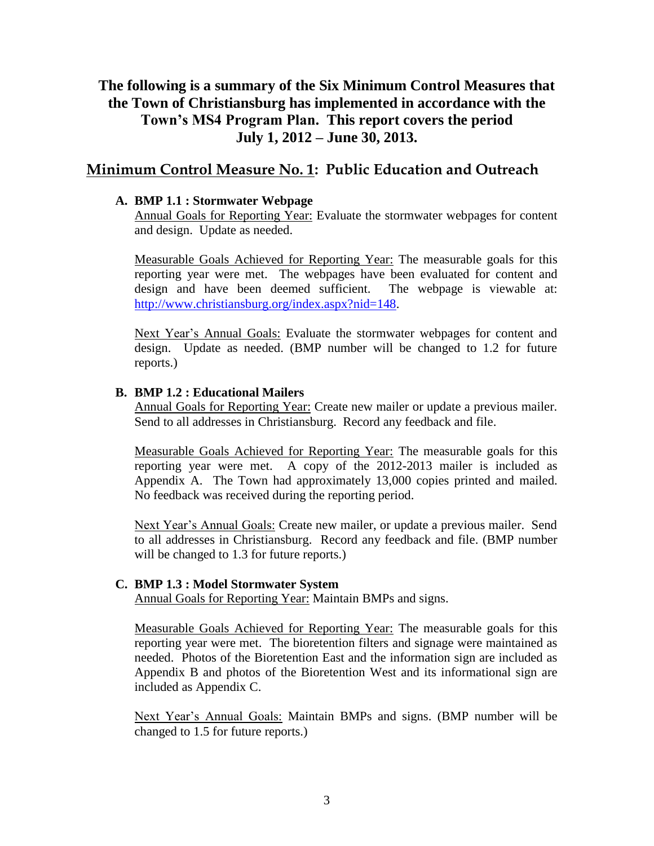# **The following is a summary of the Six Minimum Control Measures that the Town of Christiansburg has implemented in accordance with the Town's MS4 Program Plan. This report covers the period July 1, 2012 – June 30, 2013.**

# **Minimum Control Measure No. 1: Public Education and Outreach**

#### **A. BMP 1.1 : Stormwater Webpage**

Annual Goals for Reporting Year: Evaluate the stormwater webpages for content and design. Update as needed.

Measurable Goals Achieved for Reporting Year: The measurable goals for this reporting year were met. The webpages have been evaluated for content and design and have been deemed sufficient. The webpage is viewable at: [http://www.christiansburg.org/index.aspx?nid=148.](http://www.christiansburg.org/index.aspx?nid=148)

Next Year's Annual Goals: Evaluate the stormwater webpages for content and design. Update as needed. (BMP number will be changed to 1.2 for future reports.)

#### **B. BMP 1.2 : Educational Mailers**

Annual Goals for Reporting Year: Create new mailer or update a previous mailer. Send to all addresses in Christiansburg. Record any feedback and file.

Measurable Goals Achieved for Reporting Year: The measurable goals for this reporting year were met. A copy of the 2012-2013 mailer is included as Appendix A. The Town had approximately 13,000 copies printed and mailed. No feedback was received during the reporting period.

Next Year's Annual Goals: Create new mailer, or update a previous mailer. Send to all addresses in Christiansburg. Record any feedback and file. (BMP number will be changed to 1.3 for future reports.)

#### **C. BMP 1.3 : Model Stormwater System**

Annual Goals for Reporting Year: Maintain BMPs and signs.

Measurable Goals Achieved for Reporting Year: The measurable goals for this reporting year were met. The bioretention filters and signage were maintained as needed. Photos of the Bioretention East and the information sign are included as Appendix B and photos of the Bioretention West and its informational sign are included as Appendix C.

Next Year's Annual Goals: Maintain BMPs and signs. (BMP number will be changed to 1.5 for future reports.)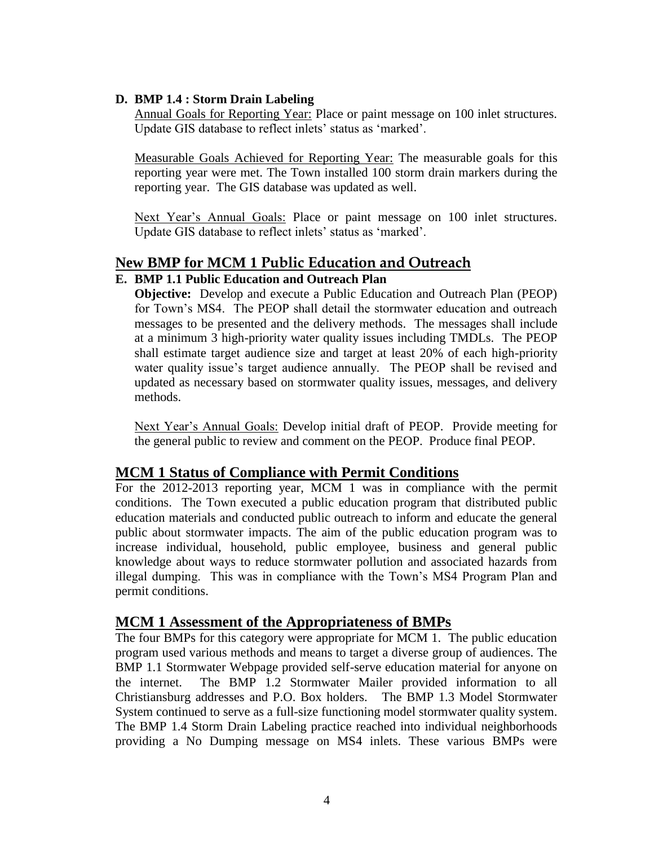#### **D. BMP 1.4 : Storm Drain Labeling**

Annual Goals for Reporting Year: Place or paint message on 100 inlet structures. Update GIS database to reflect inlets' status as 'marked'.

Measurable Goals Achieved for Reporting Year: The measurable goals for this reporting year were met. The Town installed 100 storm drain markers during the reporting year. The GIS database was updated as well.

Next Year's Annual Goals: Place or paint message on 100 inlet structures. Update GIS database to reflect inlets' status as 'marked'.

# **New BMP for MCM 1 Public Education and Outreach**

#### **E. BMP 1.1 Public Education and Outreach Plan**

**Objective:** Develop and execute a Public Education and Outreach Plan (PEOP) for Town's MS4. The PEOP shall detail the stormwater education and outreach messages to be presented and the delivery methods. The messages shall include at a minimum 3 high-priority water quality issues including TMDLs. The PEOP shall estimate target audience size and target at least 20% of each high-priority water quality issue's target audience annually. The PEOP shall be revised and updated as necessary based on stormwater quality issues, messages, and delivery methods.

Next Year's Annual Goals: Develop initial draft of PEOP. Provide meeting for the general public to review and comment on the PEOP. Produce final PEOP.

# **MCM 1 Status of Compliance with Permit Conditions**

For the 2012-2013 reporting year, MCM 1 was in compliance with the permit conditions. The Town executed a public education program that distributed public education materials and conducted public outreach to inform and educate the general public about stormwater impacts. The aim of the public education program was to increase individual, household, public employee, business and general public knowledge about ways to reduce stormwater pollution and associated hazards from illegal dumping. This was in compliance with the Town's MS4 Program Plan and permit conditions.

# **MCM 1 Assessment of the Appropriateness of BMPs**

The four BMPs for this category were appropriate for MCM 1. The public education program used various methods and means to target a diverse group of audiences. The BMP 1.1 Stormwater Webpage provided self-serve education material for anyone on the internet. The BMP 1.2 Stormwater Mailer provided information to all Christiansburg addresses and P.O. Box holders. The BMP 1.3 Model Stormwater System continued to serve as a full-size functioning model stormwater quality system. The BMP 1.4 Storm Drain Labeling practice reached into individual neighborhoods providing a No Dumping message on MS4 inlets. These various BMPs were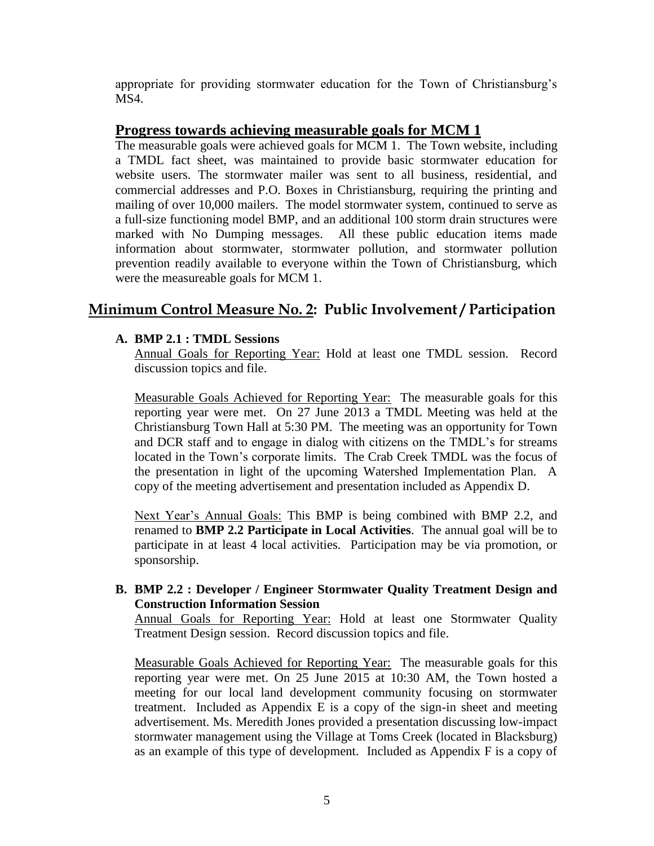appropriate for providing stormwater education for the Town of Christiansburg's MS4.

# **Progress towards achieving measurable goals for MCM 1**

The measurable goals were achieved goals for MCM 1. The Town website, including a TMDL fact sheet, was maintained to provide basic stormwater education for website users. The stormwater mailer was sent to all business, residential, and commercial addresses and P.O. Boxes in Christiansburg, requiring the printing and mailing of over 10,000 mailers. The model stormwater system, continued to serve as a full-size functioning model BMP, and an additional 100 storm drain structures were marked with No Dumping messages. All these public education items made information about stormwater, stormwater pollution, and stormwater pollution prevention readily available to everyone within the Town of Christiansburg, which were the measureable goals for MCM 1.

# **Minimum Control Measure No. 2: Public Involvement / Participation**

### **A. BMP 2.1 : TMDL Sessions**

Annual Goals for Reporting Year: Hold at least one TMDL session. Record discussion topics and file.

Measurable Goals Achieved for Reporting Year: The measurable goals for this reporting year were met. On 27 June 2013 a TMDL Meeting was held at the Christiansburg Town Hall at 5:30 PM. The meeting was an opportunity for Town and DCR staff and to engage in dialog with citizens on the TMDL's for streams located in the Town's corporate limits. The Crab Creek TMDL was the focus of the presentation in light of the upcoming Watershed Implementation Plan. A copy of the meeting advertisement and presentation included as Appendix D.

Next Year's Annual Goals: This BMP is being combined with BMP 2.2, and renamed to **BMP 2.2 Participate in Local Activities**. The annual goal will be to participate in at least 4 local activities. Participation may be via promotion, or sponsorship.

#### **B. BMP 2.2 : Developer / Engineer Stormwater Quality Treatment Design and Construction Information Session**

Annual Goals for Reporting Year: Hold at least one Stormwater Quality Treatment Design session. Record discussion topics and file.

Measurable Goals Achieved for Reporting Year: The measurable goals for this reporting year were met. On 25 June 2015 at 10:30 AM, the Town hosted a meeting for our local land development community focusing on stormwater treatment. Included as Appendix E is a copy of the sign-in sheet and meeting advertisement. Ms. Meredith Jones provided a presentation discussing low-impact stormwater management using the Village at Toms Creek (located in Blacksburg) as an example of this type of development. Included as Appendix F is a copy of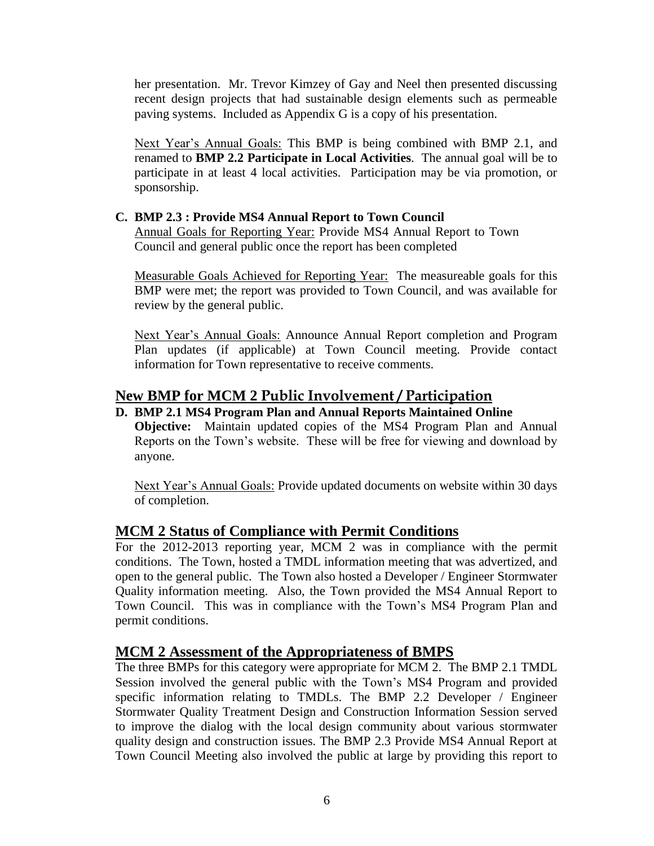her presentation. Mr. Trevor Kimzey of Gay and Neel then presented discussing recent design projects that had sustainable design elements such as permeable paving systems. Included as Appendix G is a copy of his presentation.

Next Year's Annual Goals: This BMP is being combined with BMP 2.1, and renamed to **BMP 2.2 Participate in Local Activities**. The annual goal will be to participate in at least 4 local activities. Participation may be via promotion, or sponsorship.

#### **C. BMP 2.3 : Provide MS4 Annual Report to Town Council**

Annual Goals for Reporting Year: Provide MS4 Annual Report to Town Council and general public once the report has been completed

Measurable Goals Achieved for Reporting Year: The measureable goals for this BMP were met; the report was provided to Town Council, and was available for review by the general public.

Next Year's Annual Goals: Announce Annual Report completion and Program Plan updates (if applicable) at Town Council meeting. Provide contact information for Town representative to receive comments.

# **New BMP for MCM 2 Public Involvement / Participation**

#### **D. BMP 2.1 MS4 Program Plan and Annual Reports Maintained Online**

**Objective:** Maintain updated copies of the MS4 Program Plan and Annual Reports on the Town's website. These will be free for viewing and download by anyone.

Next Year's Annual Goals: Provide updated documents on website within 30 days of completion.

# **MCM 2 Status of Compliance with Permit Conditions**

For the 2012-2013 reporting year, MCM 2 was in compliance with the permit conditions. The Town, hosted a TMDL information meeting that was advertized, and open to the general public. The Town also hosted a Developer / Engineer Stormwater Quality information meeting. Also, the Town provided the MS4 Annual Report to Town Council. This was in compliance with the Town's MS4 Program Plan and permit conditions.

#### **MCM 2 Assessment of the Appropriateness of BMPS**

The three BMPs for this category were appropriate for MCM 2. The BMP 2.1 TMDL Session involved the general public with the Town's MS4 Program and provided specific information relating to TMDLs. The BMP 2.2 Developer / Engineer Stormwater Quality Treatment Design and Construction Information Session served to improve the dialog with the local design community about various stormwater quality design and construction issues. The BMP 2.3 Provide MS4 Annual Report at Town Council Meeting also involved the public at large by providing this report to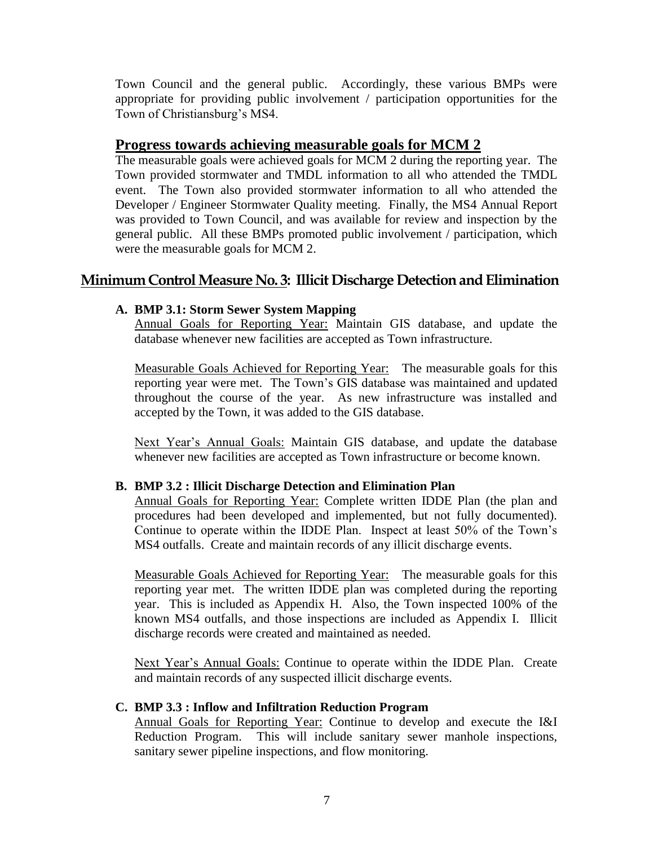Town Council and the general public. Accordingly, these various BMPs were appropriate for providing public involvement / participation opportunities for the Town of Christiansburg's MS4.

### **Progress towards achieving measurable goals for MCM 2**

The measurable goals were achieved goals for MCM 2 during the reporting year. The Town provided stormwater and TMDL information to all who attended the TMDL event. The Town also provided stormwater information to all who attended the Developer / Engineer Stormwater Quality meeting. Finally, the MS4 Annual Report was provided to Town Council, and was available for review and inspection by the general public. All these BMPs promoted public involvement / participation, which were the measurable goals for MCM 2.

# **Minimum Control Measure No. 3: Illicit Discharge Detection and Elimination**

#### **A. BMP 3.1: Storm Sewer System Mapping**

Annual Goals for Reporting Year: Maintain GIS database, and update the database whenever new facilities are accepted as Town infrastructure.

Measurable Goals Achieved for Reporting Year: The measurable goals for this reporting year were met. The Town's GIS database was maintained and updated throughout the course of the year. As new infrastructure was installed and accepted by the Town, it was added to the GIS database.

Next Year's Annual Goals: Maintain GIS database, and update the database whenever new facilities are accepted as Town infrastructure or become known.

#### **B. BMP 3.2 : Illicit Discharge Detection and Elimination Plan**

Annual Goals for Reporting Year: Complete written IDDE Plan (the plan and procedures had been developed and implemented, but not fully documented). Continue to operate within the IDDE Plan. Inspect at least 50% of the Town's MS4 outfalls. Create and maintain records of any illicit discharge events.

Measurable Goals Achieved for Reporting Year: The measurable goals for this reporting year met. The written IDDE plan was completed during the reporting year. This is included as Appendix H. Also, the Town inspected 100% of the known MS4 outfalls, and those inspections are included as Appendix I. Illicit discharge records were created and maintained as needed.

Next Year's Annual Goals: Continue to operate within the IDDE Plan. Create and maintain records of any suspected illicit discharge events.

#### **C. BMP 3.3 : Inflow and Infiltration Reduction Program**

Annual Goals for Reporting Year: Continue to develop and execute the I&I Reduction Program. This will include sanitary sewer manhole inspections, sanitary sewer pipeline inspections, and flow monitoring.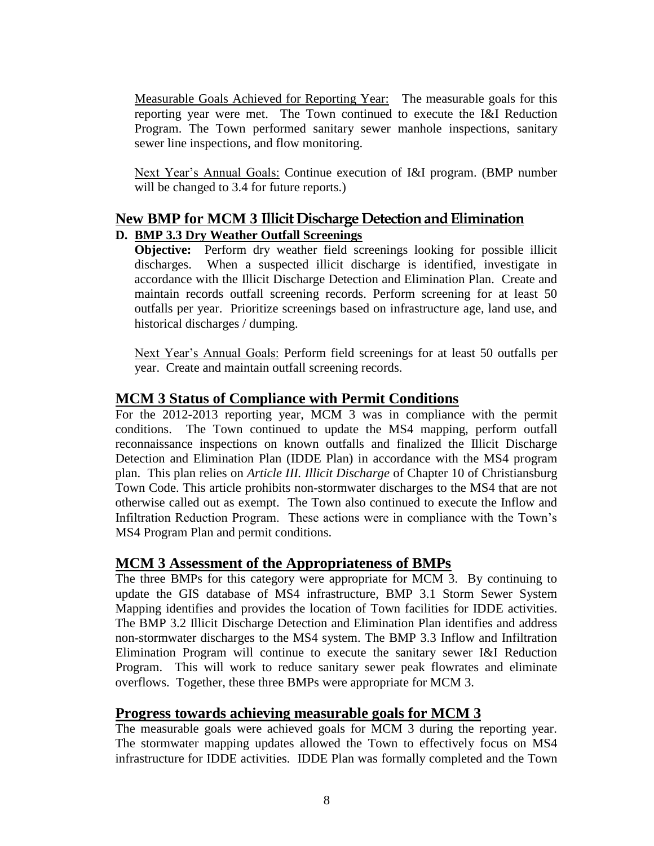Measurable Goals Achieved for Reporting Year: The measurable goals for this reporting year were met. The Town continued to execute the I&I Reduction Program. The Town performed sanitary sewer manhole inspections, sanitary sewer line inspections, and flow monitoring.

Next Year's Annual Goals: Continue execution of I&I program. (BMP number will be changed to 3.4 for future reports.)

# **New BMP for MCM 3 Illicit Discharge Detection and Elimination D. BMP 3.3 Dry Weather Outfall Screenings**

**Objective:** Perform dry weather field screenings looking for possible illicit discharges. When a suspected illicit discharge is identified, investigate in accordance with the Illicit Discharge Detection and Elimination Plan. Create and maintain records outfall screening records. Perform screening for at least 50 outfalls per year. Prioritize screenings based on infrastructure age, land use, and historical discharges / dumping.

Next Year's Annual Goals: Perform field screenings for at least 50 outfalls per year. Create and maintain outfall screening records.

# **MCM 3 Status of Compliance with Permit Conditions**

For the 2012-2013 reporting year, MCM 3 was in compliance with the permit conditions. The Town continued to update the MS4 mapping, perform outfall reconnaissance inspections on known outfalls and finalized the Illicit Discharge Detection and Elimination Plan (IDDE Plan) in accordance with the MS4 program plan. This plan relies on *Article III. Illicit Discharge* of Chapter 10 of Christiansburg Town Code. This article prohibits non-stormwater discharges to the MS4 that are not otherwise called out as exempt. The Town also continued to execute the Inflow and Infiltration Reduction Program. These actions were in compliance with the Town's MS4 Program Plan and permit conditions.

# **MCM 3 Assessment of the Appropriateness of BMPs**

The three BMPs for this category were appropriate for MCM 3. By continuing to update the GIS database of MS4 infrastructure, BMP 3.1 Storm Sewer System Mapping identifies and provides the location of Town facilities for IDDE activities. The BMP 3.2 Illicit Discharge Detection and Elimination Plan identifies and address non-stormwater discharges to the MS4 system. The BMP 3.3 Inflow and Infiltration Elimination Program will continue to execute the sanitary sewer I&I Reduction Program. This will work to reduce sanitary sewer peak flowrates and eliminate overflows. Together, these three BMPs were appropriate for MCM 3.

# **Progress towards achieving measurable goals for MCM 3**

The measurable goals were achieved goals for MCM 3 during the reporting year. The stormwater mapping updates allowed the Town to effectively focus on MS4 infrastructure for IDDE activities. IDDE Plan was formally completed and the Town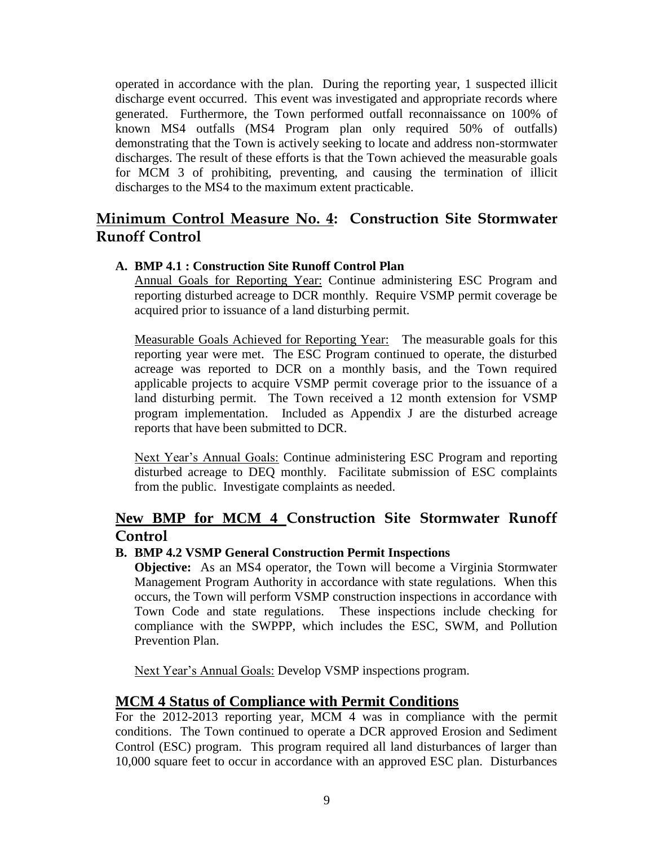operated in accordance with the plan. During the reporting year, 1 suspected illicit discharge event occurred. This event was investigated and appropriate records where generated. Furthermore, the Town performed outfall reconnaissance on 100% of known MS4 outfalls (MS4 Program plan only required 50% of outfalls) demonstrating that the Town is actively seeking to locate and address non-stormwater discharges. The result of these efforts is that the Town achieved the measurable goals for MCM 3 of prohibiting, preventing, and causing the termination of illicit discharges to the MS4 to the maximum extent practicable.

# **Minimum Control Measure No. 4: Construction Site Stormwater Runoff Control**

#### **A. BMP 4.1 : Construction Site Runoff Control Plan**

Annual Goals for Reporting Year: Continue administering ESC Program and reporting disturbed acreage to DCR monthly. Require VSMP permit coverage be acquired prior to issuance of a land disturbing permit.

Measurable Goals Achieved for Reporting Year: The measurable goals for this reporting year were met. The ESC Program continued to operate, the disturbed acreage was reported to DCR on a monthly basis, and the Town required applicable projects to acquire VSMP permit coverage prior to the issuance of a land disturbing permit. The Town received a 12 month extension for VSMP program implementation. Included as Appendix J are the disturbed acreage reports that have been submitted to DCR.

Next Year's Annual Goals: Continue administering ESC Program and reporting disturbed acreage to DEQ monthly. Facilitate submission of ESC complaints from the public. Investigate complaints as needed.

# **New BMP for MCM 4 Construction Site Stormwater Runoff Control**

#### **B. BMP 4.2 VSMP General Construction Permit Inspections**

**Objective:** As an MS4 operator, the Town will become a Virginia Stormwater Management Program Authority in accordance with state regulations. When this occurs, the Town will perform VSMP construction inspections in accordance with Town Code and state regulations. These inspections include checking for compliance with the SWPPP, which includes the ESC, SWM, and Pollution Prevention Plan.

Next Year's Annual Goals: Develop VSMP inspections program.

# **MCM 4 Status of Compliance with Permit Conditions**

For the 2012-2013 reporting year, MCM 4 was in compliance with the permit conditions. The Town continued to operate a DCR approved Erosion and Sediment Control (ESC) program. This program required all land disturbances of larger than 10,000 square feet to occur in accordance with an approved ESC plan. Disturbances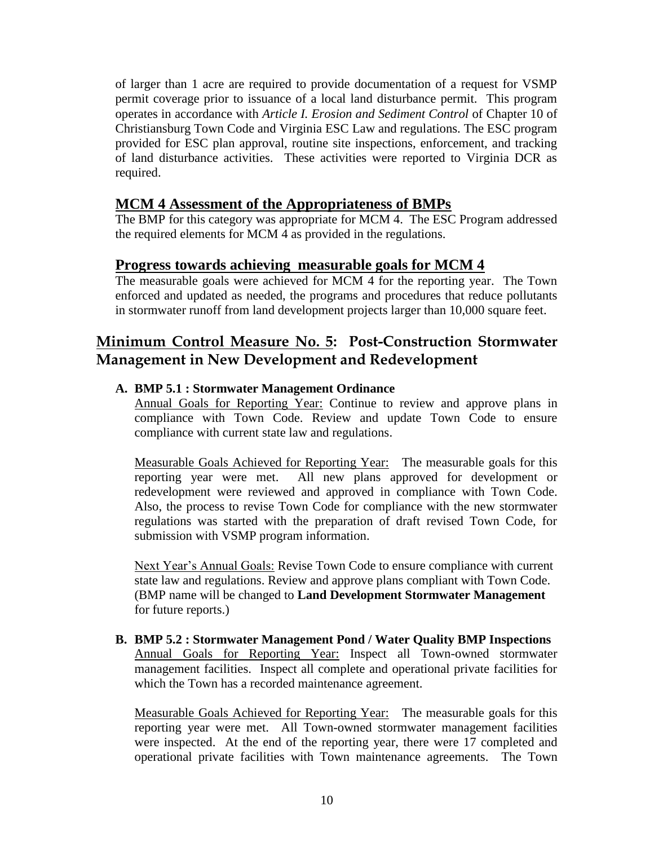of larger than 1 acre are required to provide documentation of a request for VSMP permit coverage prior to issuance of a local land disturbance permit. This program operates in accordance with *Article I. Erosion and Sediment Control* of Chapter 10 of Christiansburg Town Code and Virginia ESC Law and regulations. The ESC program provided for ESC plan approval, routine site inspections, enforcement, and tracking of land disturbance activities. These activities were reported to Virginia DCR as required.

# **MCM 4 Assessment of the Appropriateness of BMPs**

The BMP for this category was appropriate for MCM 4. The ESC Program addressed the required elements for MCM 4 as provided in the regulations.

# **Progress towards achieving measurable goals for MCM 4**

The measurable goals were achieved for MCM 4 for the reporting year. The Town enforced and updated as needed, the programs and procedures that reduce pollutants in stormwater runoff from land development projects larger than 10,000 square feet.

# **Minimum Control Measure No. 5: Post-Construction Stormwater Management in New Development and Redevelopment**

### **A. BMP 5.1 : Stormwater Management Ordinance**

Annual Goals for Reporting Year: Continue to review and approve plans in compliance with Town Code. Review and update Town Code to ensure compliance with current state law and regulations.

Measurable Goals Achieved for Reporting Year: The measurable goals for this reporting year were met. All new plans approved for development or redevelopment were reviewed and approved in compliance with Town Code. Also, the process to revise Town Code for compliance with the new stormwater regulations was started with the preparation of draft revised Town Code, for submission with VSMP program information.

Next Year's Annual Goals: Revise Town Code to ensure compliance with current state law and regulations. Review and approve plans compliant with Town Code. (BMP name will be changed to **Land Development Stormwater Management** for future reports.)

**B. BMP 5.2 : Stormwater Management Pond / Water Quality BMP Inspections** Annual Goals for Reporting Year: Inspect all Town-owned stormwater management facilities. Inspect all complete and operational private facilities for which the Town has a recorded maintenance agreement.

Measurable Goals Achieved for Reporting Year: The measurable goals for this reporting year were met. All Town-owned stormwater management facilities were inspected. At the end of the reporting year, there were 17 completed and operational private facilities with Town maintenance agreements. The Town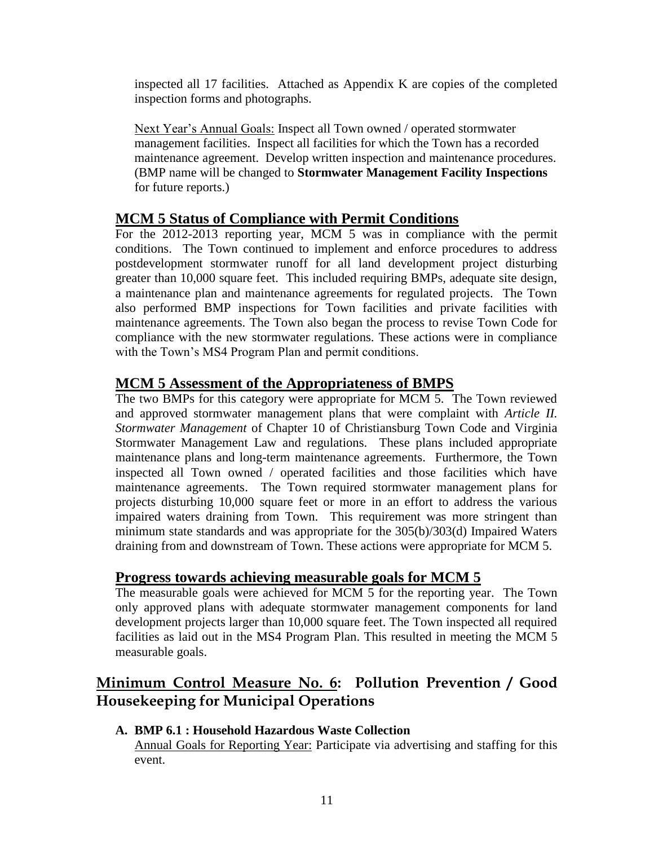inspected all 17 facilities. Attached as Appendix K are copies of the completed inspection forms and photographs.

Next Year's Annual Goals: Inspect all Town owned / operated stormwater management facilities. Inspect all facilities for which the Town has a recorded maintenance agreement. Develop written inspection and maintenance procedures. (BMP name will be changed to **Stormwater Management Facility Inspections** for future reports.)

# **MCM 5 Status of Compliance with Permit Conditions**

For the 2012-2013 reporting year, MCM 5 was in compliance with the permit conditions. The Town continued to implement and enforce procedures to address postdevelopment stormwater runoff for all land development project disturbing greater than 10,000 square feet. This included requiring BMPs, adequate site design, a maintenance plan and maintenance agreements for regulated projects. The Town also performed BMP inspections for Town facilities and private facilities with maintenance agreements. The Town also began the process to revise Town Code for compliance with the new stormwater regulations. These actions were in compliance with the Town's MS4 Program Plan and permit conditions.

# **MCM 5 Assessment of the Appropriateness of BMPS**

The two BMPs for this category were appropriate for MCM 5. The Town reviewed and approved stormwater management plans that were complaint with *Article II. Stormwater Management* of Chapter 10 of Christiansburg Town Code and Virginia Stormwater Management Law and regulations. These plans included appropriate maintenance plans and long-term maintenance agreements. Furthermore, the Town inspected all Town owned / operated facilities and those facilities which have maintenance agreements. The Town required stormwater management plans for projects disturbing 10,000 square feet or more in an effort to address the various impaired waters draining from Town. This requirement was more stringent than minimum state standards and was appropriate for the 305(b)/303(d) Impaired Waters draining from and downstream of Town. These actions were appropriate for MCM 5.

# **Progress towards achieving measurable goals for MCM 5**

The measurable goals were achieved for MCM 5 for the reporting year. The Town only approved plans with adequate stormwater management components for land development projects larger than 10,000 square feet. The Town inspected all required facilities as laid out in the MS4 Program Plan. This resulted in meeting the MCM 5 measurable goals.

# **Minimum Control Measure No. 6: Pollution Prevention / Good Housekeeping for Municipal Operations**

#### **A. BMP 6.1 : Household Hazardous Waste Collection**

Annual Goals for Reporting Year: Participate via advertising and staffing for this event.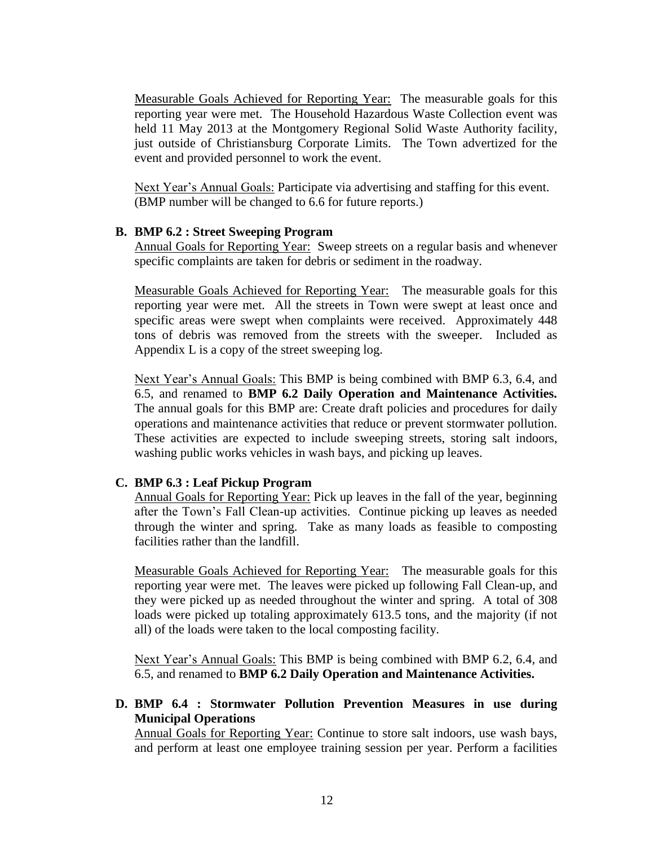Measurable Goals Achieved for Reporting Year: The measurable goals for this reporting year were met. The Household Hazardous Waste Collection event was held 11 May 2013 at the Montgomery Regional Solid Waste Authority facility, just outside of Christiansburg Corporate Limits. The Town advertized for the event and provided personnel to work the event.

Next Year's Annual Goals: Participate via advertising and staffing for this event. (BMP number will be changed to 6.6 for future reports.)

#### **B. BMP 6.2 : Street Sweeping Program**

Annual Goals for Reporting Year: Sweep streets on a regular basis and whenever specific complaints are taken for debris or sediment in the roadway.

Measurable Goals Achieved for Reporting Year: The measurable goals for this reporting year were met. All the streets in Town were swept at least once and specific areas were swept when complaints were received. Approximately 448 tons of debris was removed from the streets with the sweeper. Included as Appendix L is a copy of the street sweeping log.

Next Year's Annual Goals: This BMP is being combined with BMP 6.3, 6.4, and 6.5, and renamed to **BMP 6.2 Daily Operation and Maintenance Activities.**  The annual goals for this BMP are: Create draft policies and procedures for daily operations and maintenance activities that reduce or prevent stormwater pollution. These activities are expected to include sweeping streets, storing salt indoors, washing public works vehicles in wash bays, and picking up leaves.

#### **C. BMP 6.3 : Leaf Pickup Program**

Annual Goals for Reporting Year: Pick up leaves in the fall of the year, beginning after the Town's Fall Clean-up activities. Continue picking up leaves as needed through the winter and spring. Take as many loads as feasible to composting facilities rather than the landfill.

Measurable Goals Achieved for Reporting Year: The measurable goals for this reporting year were met. The leaves were picked up following Fall Clean-up, and they were picked up as needed throughout the winter and spring. A total of 308 loads were picked up totaling approximately 613.5 tons, and the majority (if not all) of the loads were taken to the local composting facility.

Next Year's Annual Goals: This BMP is being combined with BMP 6.2, 6.4, and 6.5, and renamed to **BMP 6.2 Daily Operation and Maintenance Activities.**

#### **D. BMP 6.4 : Stormwater Pollution Prevention Measures in use during Municipal Operations**

Annual Goals for Reporting Year: Continue to store salt indoors, use wash bays, and perform at least one employee training session per year. Perform a facilities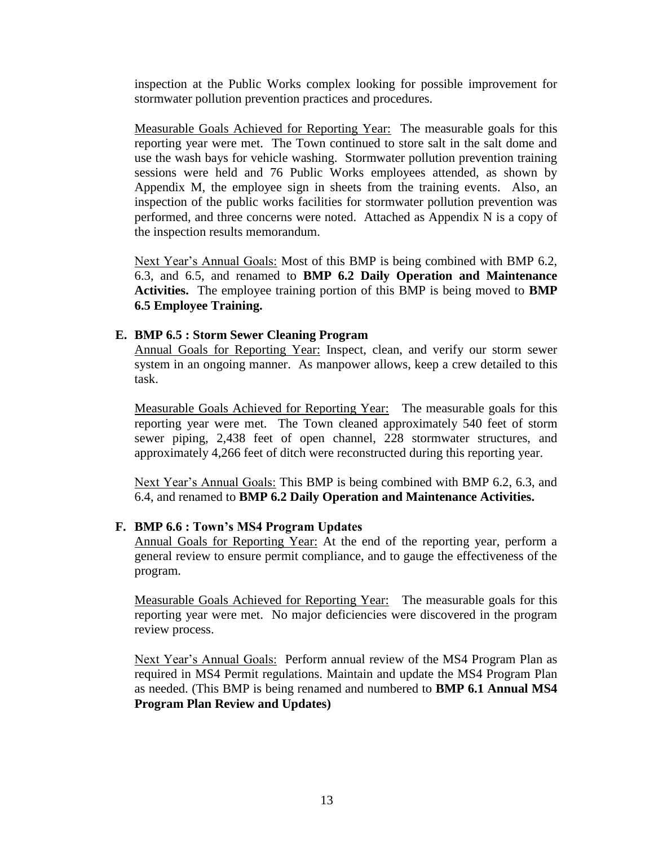inspection at the Public Works complex looking for possible improvement for stormwater pollution prevention practices and procedures.

Measurable Goals Achieved for Reporting Year: The measurable goals for this reporting year were met. The Town continued to store salt in the salt dome and use the wash bays for vehicle washing. Stormwater pollution prevention training sessions were held and 76 Public Works employees attended, as shown by Appendix M, the employee sign in sheets from the training events. Also, an inspection of the public works facilities for stormwater pollution prevention was performed, and three concerns were noted. Attached as Appendix N is a copy of the inspection results memorandum.

Next Year's Annual Goals: Most of this BMP is being combined with BMP 6.2, 6.3, and 6.5, and renamed to **BMP 6.2 Daily Operation and Maintenance Activities.** The employee training portion of this BMP is being moved to **BMP 6.5 Employee Training.**

#### **E. BMP 6.5 : Storm Sewer Cleaning Program**

Annual Goals for Reporting Year: Inspect, clean, and verify our storm sewer system in an ongoing manner. As manpower allows, keep a crew detailed to this task.

Measurable Goals Achieved for Reporting Year: The measurable goals for this reporting year were met. The Town cleaned approximately 540 feet of storm sewer piping, 2,438 feet of open channel, 228 stormwater structures, and approximately 4,266 feet of ditch were reconstructed during this reporting year.

Next Year's Annual Goals: This BMP is being combined with BMP 6.2, 6.3, and 6.4, and renamed to **BMP 6.2 Daily Operation and Maintenance Activities.**

#### **F. BMP 6.6 : Town's MS4 Program Updates**

Annual Goals for Reporting Year: At the end of the reporting year, perform a general review to ensure permit compliance, and to gauge the effectiveness of the program.

Measurable Goals Achieved for Reporting Year: The measurable goals for this reporting year were met. No major deficiencies were discovered in the program review process.

Next Year's Annual Goals: Perform annual review of the MS4 Program Plan as required in MS4 Permit regulations. Maintain and update the MS4 Program Plan as needed. (This BMP is being renamed and numbered to **BMP 6.1 Annual MS4 Program Plan Review and Updates)**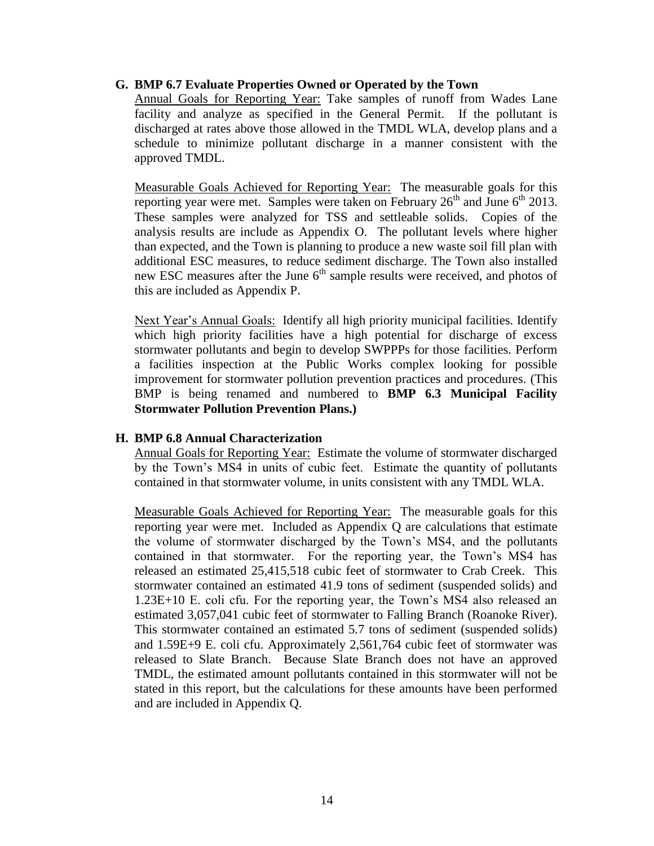#### **G. BMP 6.7 Evaluate Properties Owned or Operated by the Town**

Annual Goals for Reporting Year: Take samples of runoff from Wades Lane facility and analyze as specified in the General Permit. If the pollutant is discharged at rates above those allowed in the TMDL WLA, develop plans and a schedule to minimize pollutant discharge in a manner consistent with the approved TMDL.

Measurable Goals Achieved for Reporting Year: The measurable goals for this reporting year were met. Samples were taken on February  $26<sup>th</sup>$  and June  $6<sup>th</sup>$  2013. These samples were analyzed for TSS and settleable solids. Copies of the analysis results are include as Appendix O. The pollutant levels where higher than expected, and the Town is planning to produce a new waste soil fill plan with additional ESC measures, to reduce sediment discharge. The Town also installed new ESC measures after the June 6<sup>th</sup> sample results were received, and photos of this are included as Appendix P.

Next Year's Annual Goals: Identify all high priority municipal facilities. Identify which high priority facilities have a high potential for discharge of excess stormwater pollutants and begin to develop SWPPPs for those facilities. Perform a facilities inspection at the Public Works complex looking for possible improvement for stormwater pollution prevention practices and procedures. (This BMP is being renamed and numbered to **BMP 6.3 Municipal Facility Stormwater Pollution Prevention Plans.)**

#### **H. BMP 6.8 Annual Characterization**

Annual Goals for Reporting Year: Estimate the volume of stormwater discharged by the Town's MS4 in units of cubic feet. Estimate the quantity of pollutants contained in that stormwater volume, in units consistent with any TMDL WLA.

Measurable Goals Achieved for Reporting Year: The measurable goals for this reporting year were met. Included as Appendix Q are calculations that estimate the volume of stormwater discharged by the Town's MS4, and the pollutants contained in that stormwater. For the reporting year, the Town's MS4 has released an estimated 25,415,518 cubic feet of stormwater to Crab Creek. This stormwater contained an estimated 41.9 tons of sediment (suspended solids) and 1.23E+10 E. coli cfu. For the reporting year, the Town's MS4 also released an estimated 3,057,041 cubic feet of stormwater to Falling Branch (Roanoke River). This stormwater contained an estimated 5.7 tons of sediment (suspended solids) and 1.59E+9 E. coli cfu. Approximately 2,561,764 cubic feet of stormwater was released to Slate Branch. Because Slate Branch does not have an approved TMDL, the estimated amount pollutants contained in this stormwater will not be stated in this report, but the calculations for these amounts have been performed and are included in Appendix Q.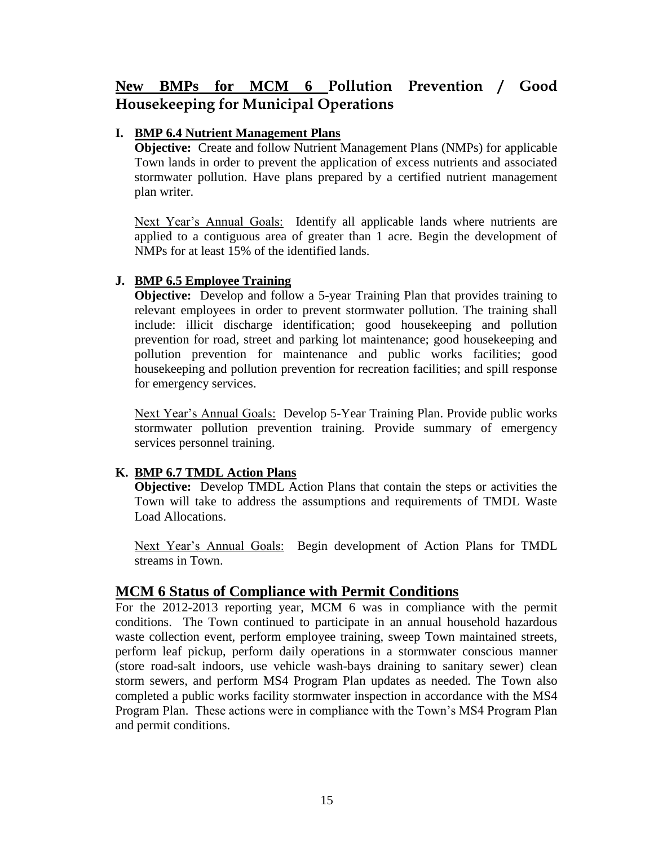# **New BMPs for MCM 6 Pollution Prevention / Good Housekeeping for Municipal Operations**

#### **I. BMP 6.4 Nutrient Management Plans**

**Objective:** Create and follow Nutrient Management Plans (NMPs) for applicable Town lands in order to prevent the application of excess nutrients and associated stormwater pollution. Have plans prepared by a certified nutrient management plan writer.

Next Year's Annual Goals: Identify all applicable lands where nutrients are applied to a contiguous area of greater than 1 acre. Begin the development of NMPs for at least 15% of the identified lands.

### **J. BMP 6.5 Employee Training**

**Objective:** Develop and follow a 5-year Training Plan that provides training to relevant employees in order to prevent stormwater pollution. The training shall include: illicit discharge identification; good housekeeping and pollution prevention for road, street and parking lot maintenance; good housekeeping and pollution prevention for maintenance and public works facilities; good housekeeping and pollution prevention for recreation facilities; and spill response for emergency services.

Next Year's Annual Goals: Develop 5-Year Training Plan. Provide public works stormwater pollution prevention training. Provide summary of emergency services personnel training.

# **K. BMP 6.7 TMDL Action Plans**

**Objective:** Develop TMDL Action Plans that contain the steps or activities the Town will take to address the assumptions and requirements of TMDL Waste Load Allocations.

Next Year's Annual Goals: Begin development of Action Plans for TMDL streams in Town.

# **MCM 6 Status of Compliance with Permit Conditions**

For the 2012-2013 reporting year, MCM 6 was in compliance with the permit conditions. The Town continued to participate in an annual household hazardous waste collection event, perform employee training, sweep Town maintained streets, perform leaf pickup, perform daily operations in a stormwater conscious manner (store road-salt indoors, use vehicle wash-bays draining to sanitary sewer) clean storm sewers, and perform MS4 Program Plan updates as needed. The Town also completed a public works facility stormwater inspection in accordance with the MS4 Program Plan. These actions were in compliance with the Town's MS4 Program Plan and permit conditions.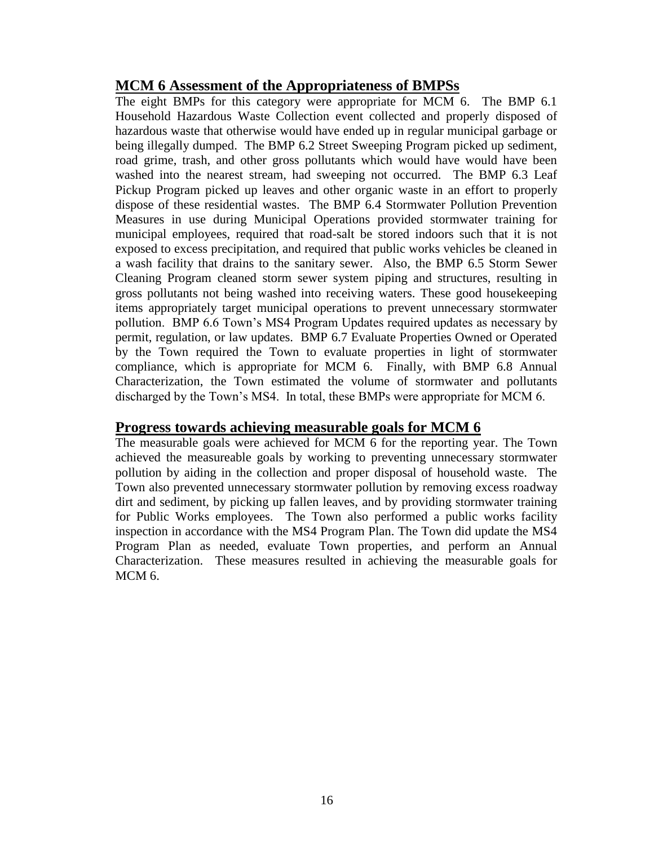# **MCM 6 Assessment of the Appropriateness of BMPSs**

The eight BMPs for this category were appropriate for MCM 6. The BMP 6.1 Household Hazardous Waste Collection event collected and properly disposed of hazardous waste that otherwise would have ended up in regular municipal garbage or being illegally dumped. The BMP 6.2 Street Sweeping Program picked up sediment, road grime, trash, and other gross pollutants which would have would have been washed into the nearest stream, had sweeping not occurred. The BMP 6.3 Leaf Pickup Program picked up leaves and other organic waste in an effort to properly dispose of these residential wastes. The BMP 6.4 Stormwater Pollution Prevention Measures in use during Municipal Operations provided stormwater training for municipal employees, required that road-salt be stored indoors such that it is not exposed to excess precipitation, and required that public works vehicles be cleaned in a wash facility that drains to the sanitary sewer. Also, the BMP 6.5 Storm Sewer Cleaning Program cleaned storm sewer system piping and structures, resulting in gross pollutants not being washed into receiving waters. These good housekeeping items appropriately target municipal operations to prevent unnecessary stormwater pollution. BMP 6.6 Town's MS4 Program Updates required updates as necessary by permit, regulation, or law updates. BMP 6.7 Evaluate Properties Owned or Operated by the Town required the Town to evaluate properties in light of stormwater compliance, which is appropriate for MCM 6. Finally, with BMP 6.8 Annual Characterization, the Town estimated the volume of stormwater and pollutants discharged by the Town's MS4. In total, these BMPs were appropriate for MCM 6.

# **Progress towards achieving measurable goals for MCM 6**

The measurable goals were achieved for MCM 6 for the reporting year. The Town achieved the measureable goals by working to preventing unnecessary stormwater pollution by aiding in the collection and proper disposal of household waste. The Town also prevented unnecessary stormwater pollution by removing excess roadway dirt and sediment, by picking up fallen leaves, and by providing stormwater training for Public Works employees. The Town also performed a public works facility inspection in accordance with the MS4 Program Plan. The Town did update the MS4 Program Plan as needed, evaluate Town properties, and perform an Annual Characterization. These measures resulted in achieving the measurable goals for MCM 6.